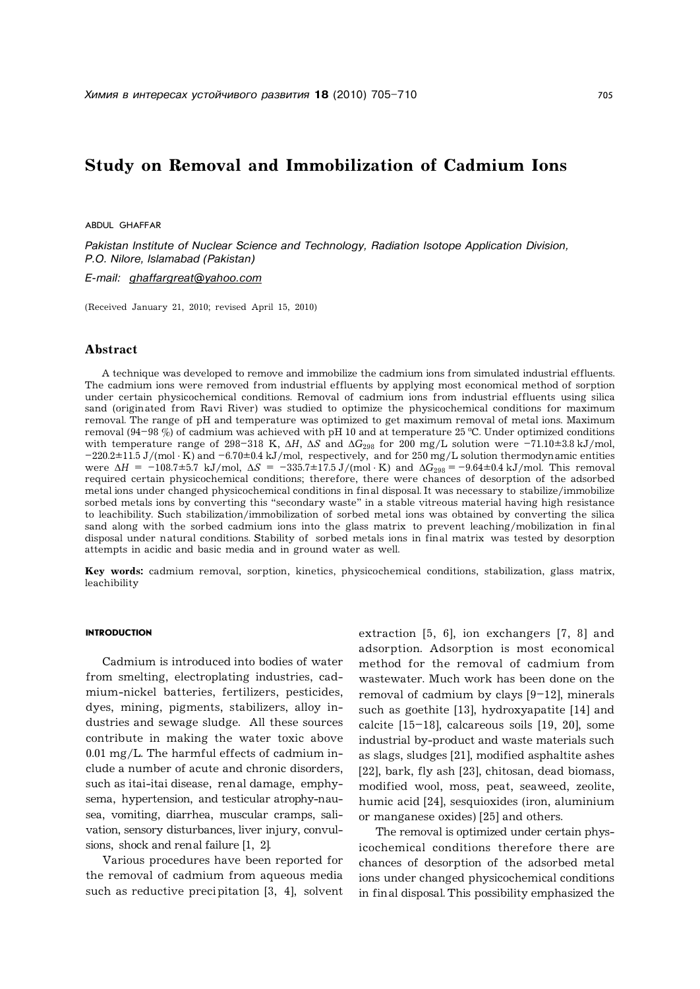# **Study on Removal and Immobilization of Cadmium Ions**

ABDUL GHAFFAR

*Pakistan Institute of Nuclear Science and Technology, Radiation Isotope Application Division, P.O. Nilore, Islamabad (Pakistan)*

*E-mail: [ghaffargreat@yahoo.com](mailto:ghaffargreat@yahoo.com)*

(Received January 21, 2010; revised April 15, 2010)

# **Abstract**

A technique was developed to remove and immobilize the cadmium ions from simulated industrial effluents. The cadmium ions were removed from industrial effluents by applying most economical method of sorption under certain physicochemical conditions. Removal of cadmium ions from industrial effluents using silica sand (originated from Ravi River) was studied to optimize the physicochemical conditions for maximum removal. The range of pH and temperature was optimized to get maximum removal of metal ions. Maximum removal (94–98 %) of cadmium was achieved with pH 10 and at temperature 25 °C. Under optimized conditions with temperature range of 298–318 K,  $\Delta H$ ,  $\Delta S$  and  $\Delta G_{298}$  for 200 mg/L solution were –71.10±3.8 kJ/mol,  $-220.2\pm11.5$  J/(mol  $\cdot$  K) and  $-6.70\pm0.4$  kJ/mol, respectively, and for 250 mg/L solution thermodynamic entities were Δ*H* = −108.7±5.7 kJ/mol, Δ*S* = −335.7±17.5 J/(mol ⋅ K) and  $ΔG_{298}$  = −9.64±0.4 kJ/mol. This removal required certain physicochemical conditions; therefore, there were chances of desorption of the adsorbed metal ions under changed physicochemical conditions in final disposal. It was necessary to stabilize/immobilize sorbed metals ions by converting this "secondary waste" in a stable vitreous material having high resistance to leachibility. Such stabilization/immobilization of sorbed metal ions was obtained by converting the silica sand along with the sorbed cadmium ions into the glass matrix to prevent leaching/mobilization in final disposal under natural conditions. Stability of sorbed metals ions in final matrix was tested by desorption attempts in acidic and basic media and in ground water as well.

**Key words:** cadmium removal, sorption, kinetics, physicochemical conditions, stabilization, glass matrix, leachibility

### **INTRODUCTION**

Cadmium is introduced into bodies of water from smelting, electroplating industries, cadmium-nickel batteries, fertilizers, pesticides, dyes, mining, pigments, stabilizers, alloy industries and sewage sludge. All these sources contribute in making the water toxic above 0.01 mg/L. The harmful effects of cadmium include a number of acute and chronic disorders, such as itai-itai disease, renal damage, emphysema, hypertension, and testicular atrophy-nausea, vomiting, diarrhea, muscular cramps, salivation, sensory disturbances, liver injury, convulsions, shock and renal failure [1, 2].

Various procedures have been reported for the removal of cadmium from aqueous media such as reductive precipitation [3, 4], solvent extraction [5, 6], ion exchangers [7, 8] and adsorption. Adsorption is most economical method for the removal of cadmium from wastewater. Much work has been done on the removal of cadmium by clays [9–12], minerals such as goethite [13], hydroxyapatite [14] and calcite [15–18], calcareous soils [19, 20], some industrial by-product and waste materials such as slags, sludges [21], modified asphaltite ashes [22], bark, fly ash [23], chitosan, dead biomass, modified wool, moss, peat, seaweed, zeolite, humic acid [24], sesquioxides (iron, aluminium or manganese oxides) [25] and others.

The removal is optimized under certain physicochemical conditions therefore there are chances of desorption of the adsorbed metal ions under changed physicochemical conditions in final disposal. This possibility emphasized the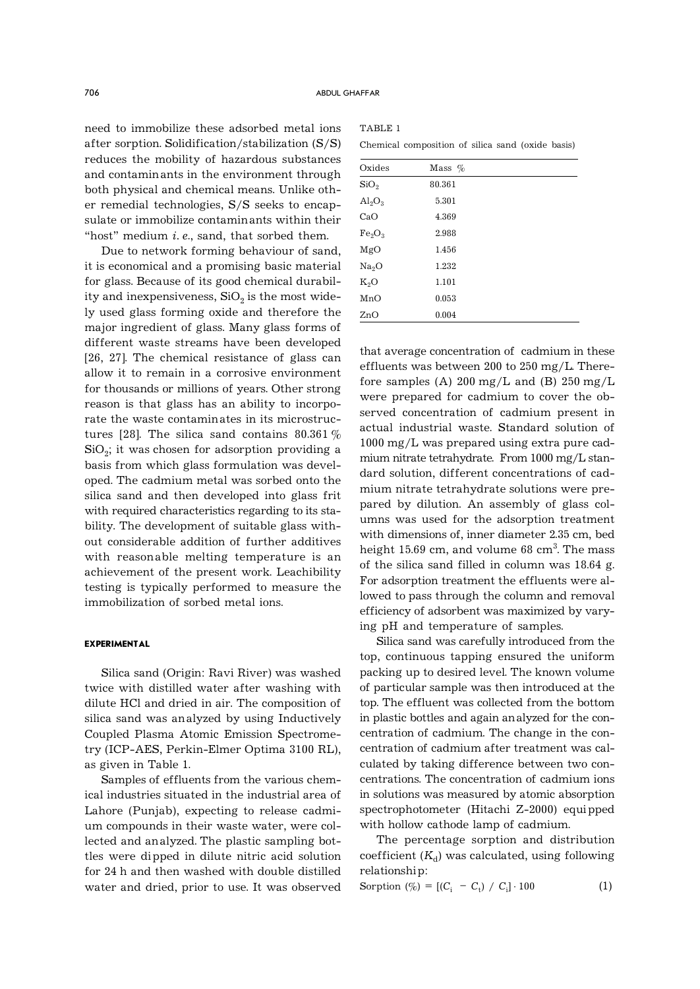need to immobilize these adsorbed metal ions after sorption. Solidification/stabilization (S/S) reduces the mobility of hazardous substances and contaminants in the environment through both physical and chemical means. Unlike other remedial technologies, S/S seeks to encapsulate or immobilize contaminants within their "host" medium *i. e*., sand, that sorbed them.

Due to network forming behaviour of sand, it is economical and a promising basic material for glass. Because of its good chemical durability and inexpensiveness,  $\mathrm{SiO}_2$  is the most widely used glass forming oxide and therefore the major ingredient of glass. Many glass forms of different waste streams have been developed [26, 27]. The chemical resistance of glass can allow it to remain in a corrosive environment for thousands or millions of years. Other strong reason is that glass has an ability to incorporate the waste contaminates in its microstructures [28]. The silica sand contains 80.361  $\%$  $\mathrm{SiO}_2$ ; it was chosen for adsorption providing a basis from which glass formulation was developed. The cadmium metal was sorbed onto the silica sand and then developed into glass frit with required characteristics regarding to its stability. The development of suitable glass without considerable addition of further additives with reasonable melting temperature is an achievement of the present work. Leachibility testing is typically performed to measure the immobilization of sorbed metal ions.

### **EXPERIMENTAL**

Silica sand (Origin: Ravi River) was washed twice with distilled water after washing with dilute HCl and dried in air. The composition of silica sand was analyzed by using Inductively Coupled Plasma Atomic Emission Spectrometry (ICP-AES, Perkin-Elmer Optima 3100 RL), as given in Table 1.

Samples of effluents from the various chemical industries situated in the industrial area of Lahore (Punjab), expecting to release cadmium compounds in their waste water, were collected and analyzed. The plastic sampling bottles were dipped in dilute nitric acid solution for 24 h and then washed with double distilled water and dried, prior to use. It was observed

| TABLE 1 |                                                   |  |  |  |
|---------|---------------------------------------------------|--|--|--|
|         | Chemical composition of silica sand (oxide basis) |  |  |  |

| Oxides                         | Mass $%$ |  |
|--------------------------------|----------|--|
| SiO <sub>2</sub>               | 80.361   |  |
| $\text{Al}_2\text{O}_3$        | 5.301    |  |
| CaO                            | 4.369    |  |
| Fe <sub>2</sub> O <sub>3</sub> | 2.988    |  |
| MgO                            | 1.456    |  |
| Na <sub>2</sub> O              | 1.232    |  |
| $K_2O$                         | 1.101    |  |
| MnO                            | 0.053    |  |
| ZnO                            | 0.004    |  |

that average concentration of cadmium in these effluents was between 200 to 250 mg/L. Therefore samples (A)  $200 \text{ mg/L}$  and (B)  $250 \text{ mg/L}$ were prepared for cadmium to cover the observed concentration of cadmium present in actual industrial waste. Standard solution of 1000 mg/L was prepared using extra pure cadmium nitrate tetrahydrate. From 1000 mg/L standard solution, different concentrations of cadmium nitrate tetrahydrate solutions were prepared by dilution. An assembly of glass columns was used for the adsorption treatment with dimensions of, inner diameter 2.35 cm, bed height 15.69 cm, and volume 68 cm $^3$ . The mass of the silica sand filled in column was 18.64 g. For adsorption treatment the effluents were allowed to pass through the column and removal efficiency of adsorbent was maximized by varying pH and temperature of samples.

Silica sand was carefully introduced from the top, continuous tapping ensured the uniform packing up to desired level. The known volume of particular sample was then introduced at the top. The effluent was collected from the bottom in plastic bottles and again analyzed for the concentration of cadmium. The change in the concentration of cadmium after treatment was calculated by taking difference between two concentrations. The concentration of cadmium ions in solutions was measured by atomic absorption spectrophotometer (Hitachi Z-2000) equipped with hollow cathode lamp of cadmium.

The percentage sorption and distribution  $\operatorname{coefficient}\left(K_{\mathrm{d}}\right)$  was calculated, using following relationship:

Sorption (
$$
\% = [(C_i - C_t) / C_i] \cdot 100
$$
 (1)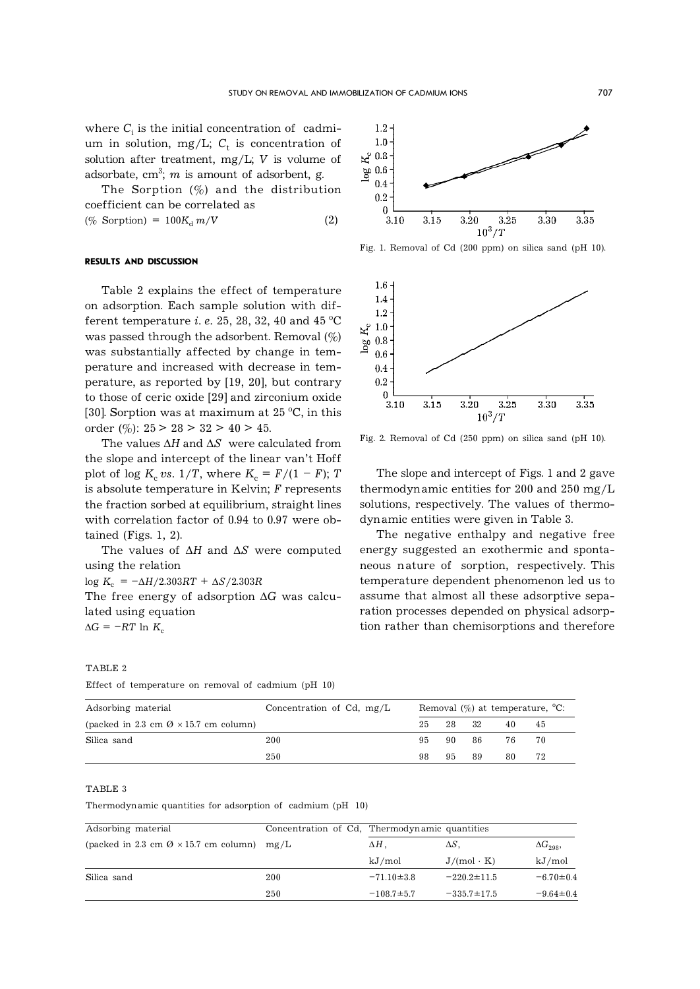$1.6 1.4$ 1.2  $\approx 1.0$  $0.8$  $90$  $0.6$  $0.4$  $0.2$  $\bf{0}$  $3.10$ 

where  $C_{\rm i}$  is the initial concentration of  $\;$  cadmium in solution,  $mg/L$ ;  $C_t$  is concentration of solution after treatment, mg/L; *V* is volume of adsorbate,  $cm^3$ ;  $m$  is amount of adsorbent, g.

The Sorption  $(\%)$  and the distribution coefficient can be correlated as  $(\% \text{ Sorption}) = 100K_d m/V$  (2)



Fig. 1. Removal of Cd (200 ppm) on silica sand (pH 10).

The slope and intercept of Figs. 1 and 2 gave thermodynamic entities for 200 and 250 mg/L solutions, respectively. The values of thermo-

 $3.25$ 

 $3.30$ 

3.35

Fig. 2. Removal of Cd (250 ppm) on silica sand (pH 10).

 $10^3/T$ 

 $3.20$ 

The negative enthalpy and negative free energy suggested an exothermic and spontaneous nature of sorption, respectively. This temperature dependent phenomenon led us to assume that almost all these adsorptive separation processes depended on physical adsorption rather than chemisorptions and therefore

dynamic entities were given in Table 3.

3.15

## **RESULTS AND DISCUSSION**

Table 2 explains the effect of temperature on adsorption. Each sample solution with different temperature *i. e.* 25, 28, 32, 40 and 45  $^{\circ}$ C was passed through the adsorbent. Removal  $(\%)$ was substantially affected by change in temperature and increased with decrease in temperature, as reported by [19, 20], but contrary to those of ceric oxide [29] and zirconium oxide [30]. Sorption was at maximum at  $25^{\circ}$ C, in this order  $(\%): 25 > 28 > 32 > 40 > 45.$ 

The values  $\Delta H$  and  $\Delta S$  were calculated from the slope and intercept of the linear van't Hoff plot of log  $K_c$  *vs.*  $1/T$ , where  $K_c = F/(1 - F)$ ; *T* is absolute temperature in Kelvin; *F* represents the fraction sorbed at equilibrium, straight lines with correlation factor of 0.94 to 0.97 were obtained (Figs. 1, 2).

The values of  $\Delta H$  and  $\Delta S$  were computed using the relation

 $\log K_c = -\Delta H/2.303RT + \Delta S/2.303R$ 

The free energy of adsorption  $\Delta G$  was calculated using equation  $\Delta G = -RT \ln K_c$ 

### TABLE 2

| Effect of temperature on removal of cadmium (pH 10) |  |  |
|-----------------------------------------------------|--|--|
|-----------------------------------------------------|--|--|

| Adsorbing material                                     | Concentration of Cd, $mg/L$ | Removal $(\%)$ at temperature, $°C$ : |       |          |      |     |  |
|--------------------------------------------------------|-----------------------------|---------------------------------------|-------|----------|------|-----|--|
| (packed in 2.3 cm $\varnothing \times 15.7$ cm column) |                             | 25                                    | 28 32 |          | 40.  | 45  |  |
| Silica sand                                            | 200                         |                                       |       | 95 90 86 | 76 — | -70 |  |
|                                                        | 250                         | 98.                                   | 95    | - 89     | 80   | 72  |  |

#### TABLE 3

Thermodynamic quantities for adsorption of cadmium (pH 10)

| Adsorbing material                                          | Concentration of Cd, Thermodynamic quantities |                  |                   |                  |
|-------------------------------------------------------------|-----------------------------------------------|------------------|-------------------|------------------|
| (packed in 2.3 cm $\varnothing \times 15.7$ cm column) mg/L |                                               | $\Delta H$ .     | $\Delta S$        | $\Delta G_{298}$ |
|                                                             |                                               | kJ/mol           | $J/(mol \cdot K)$ | kJ/mol           |
| Silica sand                                                 | 200                                           | $-71.10 \pm 3.8$ | $-220.2 \pm 11.5$ | $-6.70 \pm 0.4$  |
|                                                             | 250                                           | $-108.7 \pm 5.7$ | $-335.7 \pm 17.5$ | $-9.64 \pm 0.4$  |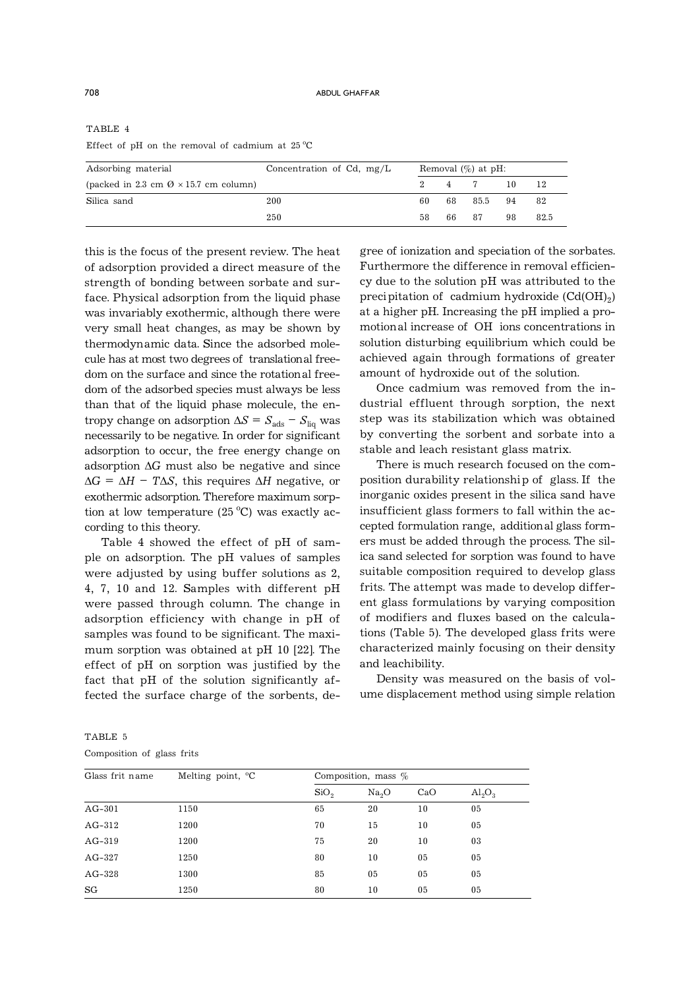TABLE 4 Effect of pH on the removal of cadmium at  $25^{\circ}$ C

| Adsorbing material                                     | Concentration of Cd, $mg/L$ | Removal $(\%)$ at pH: |       |            |    |      |
|--------------------------------------------------------|-----------------------------|-----------------------|-------|------------|----|------|
| (packed in 2.3 cm $\varnothing \times 15.7$ cm column) |                             |                       |       | 2 4 7      | 10 | 12   |
| Silica sand                                            | 200                         | 60.                   |       | 68 85.5 94 |    | - 82 |
|                                                        | 250                         | 58.                   | 66 87 |            | 98 | 82.5 |

this is the focus of the present review. The heat of adsorption provided a direct measure of the strength of bonding between sorbate and surface. Physical adsorption from the liquid phase was invariably exothermic, although there were very small heat changes, as may be shown by thermodynamic data. Since the adsorbed molecule has at most two degrees of translational freedom on the surface and since the rotational freedom of the adsorbed species must always be less than that of the liquid phase molecule, the entropy change on adsorption  $\Delta S = S_{\text{ads}} - S_{\text{liq}}$  was necessarily to be negative. In order for significant adsorption to occur, the free energy change on adsorption  $\Delta G$  must also be negative and since  $\Delta G = \Delta H - T \Delta S$ , this requires  $\Delta H$  negative, or exothermic adsorption. Therefore maximum sorption at low temperature  $(25 °C)$  was exactly according to this theory.

Table 4 showed the effect of pH of sample on adsorption. The pH values of samples were adjusted by using buffer solutions as 2, 4, 7, 10 and 12. Samples with different pH were passed through column. The change in adsorption efficiency with change in pH of samples was found to be significant. The maximum sorption was obtained at pH 10 [22]. The effect of pH on sorption was justified by the fact that pH of the solution significantly affected the surface charge of the sorbents, degree of ionization and speciation of the sorbates. Furthermore the difference in removal efficiency due to the solution pH was attributed to the precipitation of  $\,$  cadmium hydroxide (Cd(OH) $_2)$ at a higher pH. Increasing the pH implied a promotional increase of OH ions concentrations in solution disturbing equilibrium which could be achieved again through formations of greater amount of hydroxide out of the solution.

Once cadmium was removed from the industrial effluent through sorption, the next step was its stabilization which was obtained by converting the sorbent and sorbate into a stable and leach resistant glass matrix.

There is much research focused on the composition durability relationship of glass. If the inorganic oxides present in the silica sand have insufficient glass formers to fall within the accepted formulation range, additional glass formers must be added through the process. The silica sand selected for sorption was found to have suitable composition required to develop glass frits. The attempt was made to develop different glass formulations by varying composition of modifiers and fluxes based on the calculations (Table 5). The developed glass frits were characterized mainly focusing on their density and leachibility.

Density was measured on the basis of volume displacement method using simple relation

TABLE 5 Composition of glass frits

| Glass frit name | Melting point, $^{\circ}C$ |                  | Composition, mass $%$ |     |                         |  |  |
|-----------------|----------------------------|------------------|-----------------------|-----|-------------------------|--|--|
|                 |                            | SiO <sub>2</sub> | Na <sub>2</sub> O     | CaO | $\text{Al}_2\text{O}_3$ |  |  |
| $AG-301$        | 1150                       | 65               | 20                    | 10  | 05                      |  |  |
| $AG-312$        | 1200                       | 70               | 15                    | 10  | 05                      |  |  |
| $AG-319$        | 1200                       | 75               | 20                    | 10  | 03                      |  |  |
| $AG-327$        | 1250                       | 80               | 10                    | 05  | 05                      |  |  |
| $AG-328$        | 1300                       | 85               | 05                    | 05  | 05                      |  |  |
| SG              | 1250                       | 80               | 10                    | 05  | 05                      |  |  |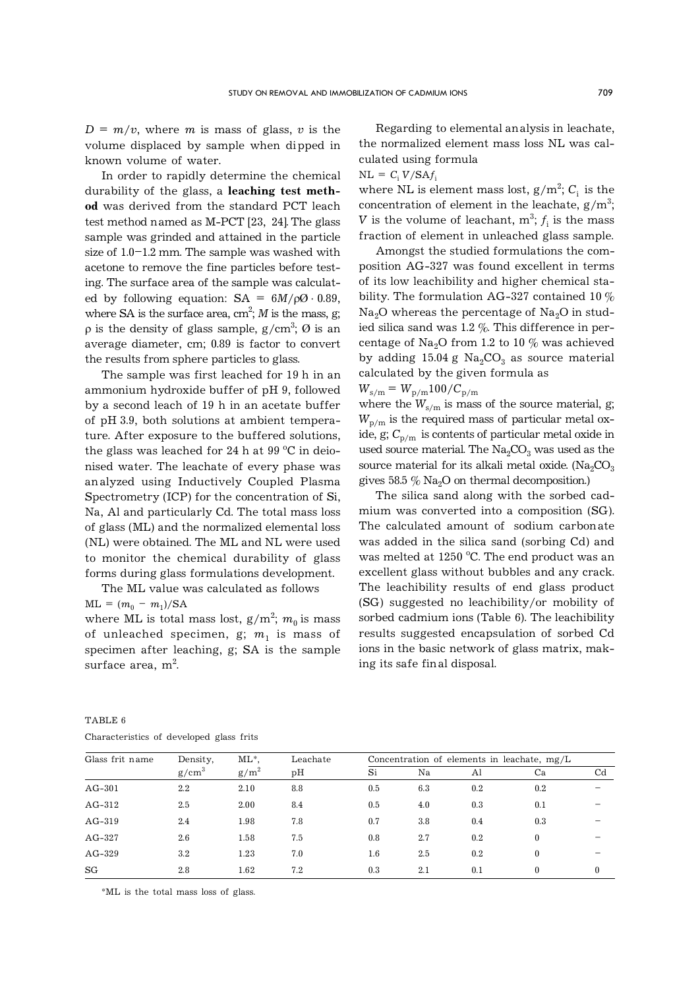$D = m/v$ , where *m* is mass of glass, *v* is the volume displaced by sample when dipped in known volume of water.

In order to rapidly determine the chemical durability of the glass, a **leaching test method** was derived from the standard PCT leach test method named as M-PCT [23, 24]. The glass sample was grinded and attained in the particle size of 1.0–1.2 mm. The sample was washed with acetone to remove the fine particles before testing. The surface area of the sample was calculated by following equation:  $SA = 6M/\rho\Omega \cdot 0.89$ , where SA is the surface area,  $cm<sup>2</sup>$ ; *M* is the mass, g;  $\rho$  is the density of glass sample, g/cm<sup>3</sup>;  $\varnothing$  is an average diameter, cm; 0.89 is factor to convert the results from sphere particles to glass.

The sample was first leached for 19 h in an ammonium hydroxide buffer of pH 9, followed by a second leach of 19 h in an acetate buffer of pH 3.9, both solutions at ambient temperature. After exposure to the buffered solutions, the glass was leached for 24 h at  $99^{\circ}$ C in deionised water. The leachate of every phase was analyzed using Inductively Coupled Plasma Spectrometry (ICP) for the concentration of Si, Na, Al and particularly Cd. The total mass loss of glass (ML) and the normalized elemental loss (NL) were obtained. The ML and NL were used to monitor the chemical durability of glass forms during glass formulations development.

The ML value was calculated as follows  $ML = (m_0 - m_1)/SA$ 

where ML is total mass lost,  $g/m^2$ ;  $m_0$  is mass of unleached specimen, g;  $m_1$  is mass of specimen after leaching, g; SA is the sample surface area,  $m^2$ . .

Regarding to elemental analysis in leachate, the normalized element mass loss NL was calculated using formula

 $NL = C_i V/SAf_i$ 

where NL is element mass lost,  $\rm g/m^2;$   $\rm C_i$  is the concentration of element in the leachate,  $\rm g/m^3;$  $V$  is the volume of leachant,  $\mathrm{m}^3\!\!;f_{\mathrm{i}}$  is the mass fraction of element in unleached glass sample.

Amongst the studied formulations the composition AG-327 was found excellent in terms of its low leachibility and higher chemical stability. The formulation AG-327 contained 10 %  $Na<sub>2</sub>O$  whereas the percentage of  $Na<sub>2</sub>O$  in studied silica sand was  $1.2\%$ . This difference in percentage of Na<sub>2</sub>O from 1.2 to 10  $\%$  was achieved by adding 15.04 g  $Na<sub>2</sub>CO<sub>3</sub>$  as source material calculated by the given formula as  $W_{\rm s/m} = W_{\rm p/m} 100/C_{\rm p/m}$ 

where the  $W_{s/m}$  is mass of the source material, g;  $W_{\text{p/m}}$  is the required mass of particular metal oxide, g;  $C_{p/m}$  is contents of particular metal oxide in used source material. The  $\text{Na}_2\text{CO}_3$  was used as the source material for its alkali metal oxide. ( $Na<sub>2</sub>CO<sub>3</sub>$ gives 58.5  $\%$  Na<sub>2</sub>O on thermal decomposition.)

The silica sand along with the sorbed cadmium was converted into a composition (SG). The calculated amount of sodium carbonate was added in the silica sand (sorbing Cd) and was melted at  $1250$  °C. The end product was an excellent glass without bubbles and any crack. The leachibility results of end glass product (SG) suggested no leachibility/or mobility of sorbed cadmium ions (Table 6). The leachibility results suggested encapsulation of sorbed Cd ions in the basic network of glass matrix, making its safe final disposal.

| Glass frit name | $ML^*$<br>Density, |         | Leachate | Concentration of elements in leachate, $mg/L$ |     |     |          |             |
|-----------------|--------------------|---------|----------|-----------------------------------------------|-----|-----|----------|-------------|
|                 | $g/cm^3$           | $g/m^2$ | pН       | S <sub>1</sub>                                | Na  | Al  | Ca       | $_{\rm Cd}$ |
| $AG-301$        | $2.2\,$            | 2.10    | 8.8      | 0.5                                           | 6.3 | 0.2 | 0.2      |             |
| $AG-312$        | 2.5                | 2.00    | 8.4      | 0.5                                           | 4.0 | 0.3 | 0.1      |             |
| AG-319          | 2.4                | 1.98    | 7.8      | 0.7                                           | 3.8 | 0.4 | 0.3      |             |
| $AG-327$        | 2.6                | 1.58    | 7.5      | 0.8                                           | 2.7 | 0.2 | $\theta$ |             |
| $AG-329$        | 3.2                | 1.23    | 7.0      | $1.6\,$                                       | 2.5 | 0.2 | $\theta$ |             |
| SG              | 2.8                | 1.62    | 7.2      | 0.3                                           | 2.1 | 0.1 | $\theta$ | $\theta$    |

| TABLE 6                                  |  |  |
|------------------------------------------|--|--|
| Characteristics of developed glass frits |  |  |

\*ML is the total mass loss of glass.